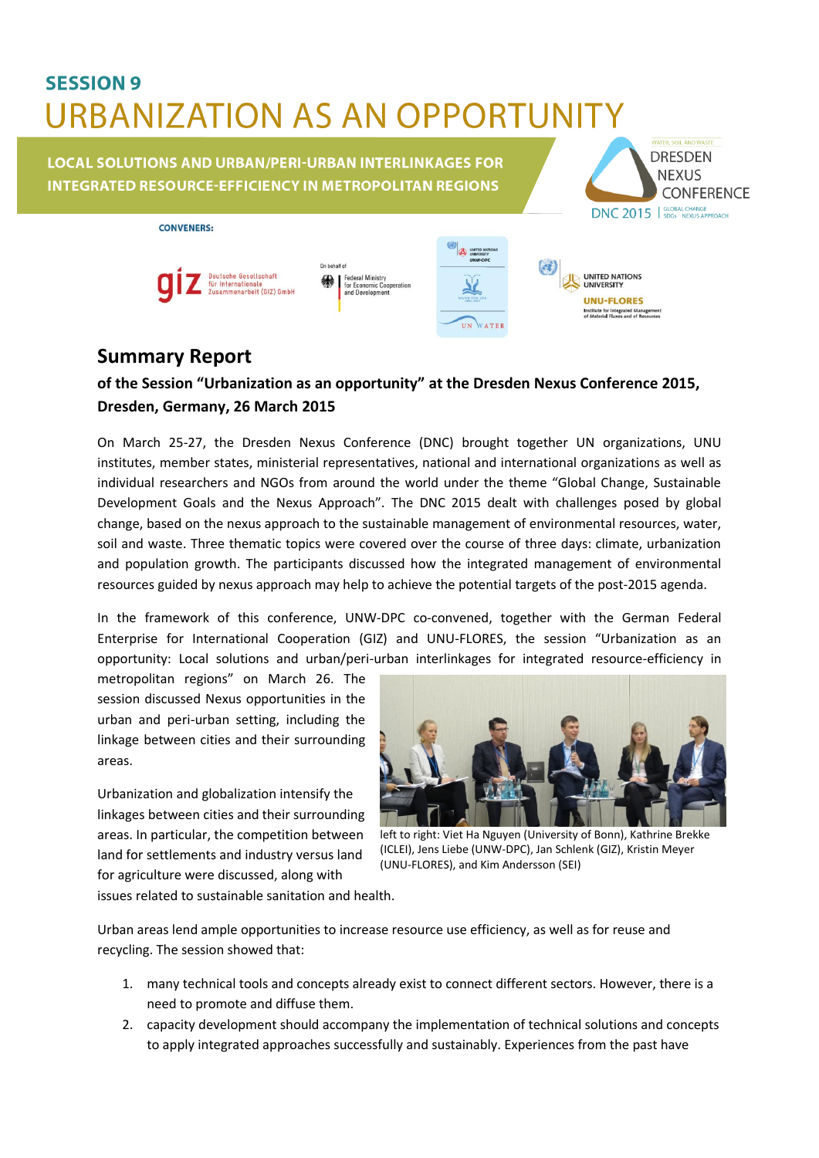## **SESSION 9 URBANIZATION AS AN OPPORTUNITY**

**LOCAL SOLUTIONS AND URBAN/PERI-URBAN INTERLINKAGES FOR INTEGRATED RESOURCE-EFFICIENCY IN METROPOLITAN REGIONS** 



| CONVENERS:                                                                                           |                                                                        |                                                                                                       |                                                                                                                                                      |
|------------------------------------------------------------------------------------------------------|------------------------------------------------------------------------|-------------------------------------------------------------------------------------------------------|------------------------------------------------------------------------------------------------------------------------------------------------------|
| On behalf of<br><b>Deutsche Gesellschaft</b><br>绿<br>für Internationale<br>Zusammenarbeit (GIZ) GmbH | <b>Federal Ministry</b><br>for Economic Cooperation<br>and Development | <b>UNITED NATIONS</b><br><b>UNIVERSITY</b><br>UNW-DPC<br>WATER FOR LIFE.<br>2003-2815<br>WATER<br>UN. | <b>UNITED NATIONS</b><br><b>UNIVERSITY</b><br><b>UNU-FLORES</b><br><b>Institute for Integrated Management</b><br>of Material Fluxes and of Resources |

## **Summary Report**

CONVENEDS.

## **of the Session "Urbanization as an opportunity" at the Dresden Nexus Conference 2015, Dresden, Germany, 26 March 2015**

On March 25-27, the Dresden Nexus Conference (DNC) brought together UN organizations, UNU institutes, member states, ministerial representatives, national and international organizations as well as individual researchers and NGOs from around the world under the theme "Global Change, Sustainable Development Goals and the Nexus Approach". The DNC 2015 dealt with challenges posed by global change, based on the nexus approach to the sustainable management of environmental resources, water, soil and waste. Three thematic topics were covered over the course of three days: climate, urbanization and population growth. The participants discussed how the integrated management of environmental resources guided by nexus approach may help to achieve the potential targets of the post-2015 agenda.

In the framework of this conference, UNW-DPC co-convened, together with the German Federal Enterprise for International Cooperation (GIZ) and UNU-FLORES, the session "Urbanization as an opportunity: Local solutions and urban/peri-urban interlinkages for integrated resource-efficiency in

metropolitan regions" on March 26. The session discussed Nexus opportunities in the urban and peri-urban setting, including the linkage between cities and their surrounding areas.

Urbanization and globalization intensify the linkages between cities and their surrounding areas. In particular, the competition between land for settlements and industry versus land for agriculture were discussed, along with



left to right: Viet Ha Nguyen (University of Bonn), Kathrine Brekke (ICLEI), Jens Liebe (UNW-DPC), Jan Schlenk (GIZ), Kristin Meyer (UNU-FLORES), and Kim Andersson (SEI)

issues related to sustainable sanitation and health.

Urban areas lend ample opportunities to increase resource use efficiency, as well as for reuse and recycling. The session showed that:

- 1. many technical tools and concepts already exist to connect different sectors. However, there is a need to promote and diffuse them.
- 2. capacity development should accompany the implementation of technical solutions and concepts to apply integrated approaches successfully and sustainably. Experiences from the past have